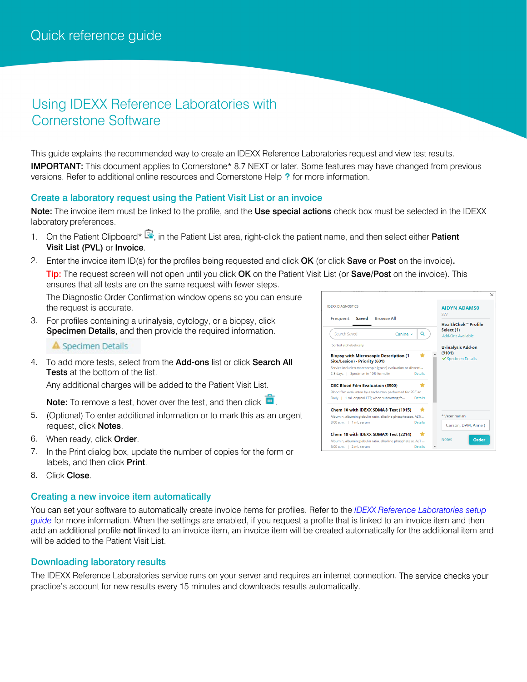# Using IDEXX Reference Laboratories with Cornerstone Software

This guide explains the recommended way to create an IDEXX Reference Laboratories request and view test results. IMPORTANT: This document applies to Cornerstone\* 8.7 NEXT or later. Some features may have changed from previous versions. Refer to additional online resources and Cornerstone Help ? for more information.

## Create a laboratory request using the Patient Visit List or an invoice

Note: The invoice item must be linked to the profile, and the Use special actions check box must be selected in the IDEXX laboratory preferences.

- 1. On the Patient Clipboard\*  $\mathbb{F}$ , in the Patient List area, right-click the patient name, and then select either Patient Visit List (PVL) or Invoice.
- 2. Enter the invoice item ID(s) for the profiles being requested and click OK (or click Save or Post on the invoice). Tip: The request screen will not open until you click OK on the Patient Visit List (or Save/Post on the invoice). This ensures that all tests are on the same request with fewer steps.

The Diagnostic Order Confirmation window opens so you can ensure the request is accurate.

3. For profiles containing a urinalysis, cytology, or a biopsy, click Specimen Details, and then provide the required information.

## A Specimen Details

4. To add more tests, select from the Add-ons list or click Search All **Tests** at the bottom of the list.

Any additional charges will be added to the Patient Visit List.

Note: To remove a test, hover over the test, and then click  $\blacksquare$ .

- 5. (Optional) To enter additional information or to mark this as an urgent request, click Notes.
- 6. When ready, click Order.
- 7. In the Print dialog box, update the number of copies for the form or labels, and then click Print.
- 8. Click Close.

## Creating a new invoice item automatically

You can set your software to automatically create invoice items for profiles. Refer to the *[IDEXX Reference Laboratories setup](https://www.idexx.com/files/cornerstone-ref-lab-setup-guide.pdf)  [guide](https://www.idexx.com/files/cornerstone-ref-lab-setup-guide.pdf)* for more information. When the settings are enabled, if you request a profile that is linked to an invoice item and then add an additional profile not linked to an invoice item, an invoice item will be created automatically for the additional item and will be added to the Patient Visit List.

## Downloading laboratory results

The IDEXX Reference Laboratories service runs on your server and requires an internet connection. The service checks your practice's account for new results every 15 minutes and downloads results automatically.